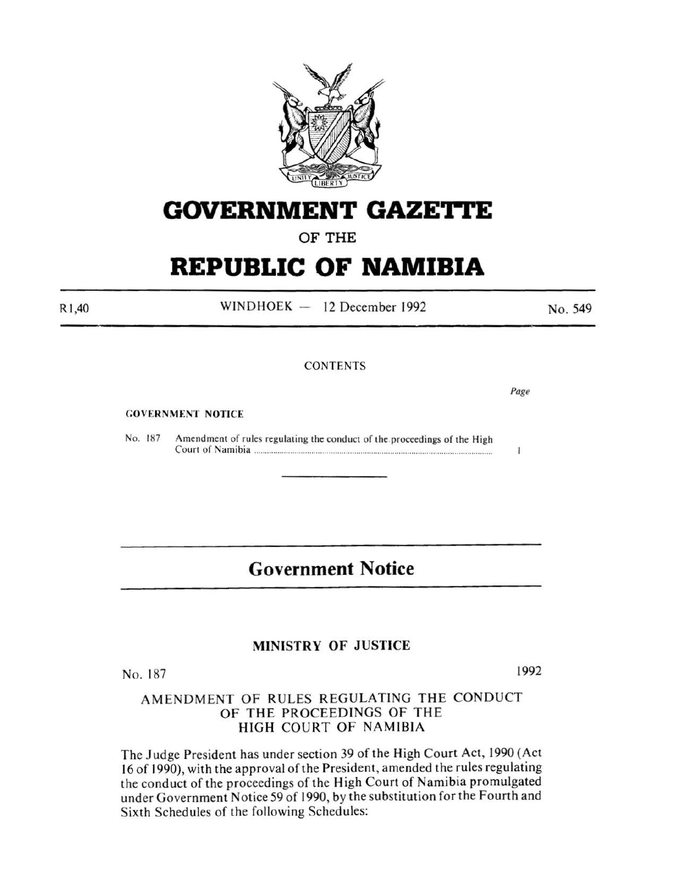

**GOVERNMENT GAZETTE** 

OF THE

# **REPUBLIC OF NAMIBIA**

 $WINDHOEK - 12 December 1992$ 

**CONTENTS** 

GOVERNMENT NOTICE

No. 187 Amendment of rules regulating the conduct of the proceedings of the High Court of Namibia ............................................................................................................... .

## **Government Notice**

### MINISTRY OF JUSTICE

No. 187 1992

### AMENDMENT OF RULES REGULATING THE CONDUCT OF THE PROCEEDINGS OF THE HIGH COURT OF NAMIBIA

The Judge President has under section 39 of the High Court Act, 1990 (Act 16 of 1990), with the approval of the President, amended the rules regulating the conduct of the proceedings of the High Court of Namibia promulgated under Government Notice 59 of 1990, by the substitution for the Fourth and Sixth Schedules of the following Schedules:

Rl,40

*Page* 

No. 549

 $\mathbf{I}$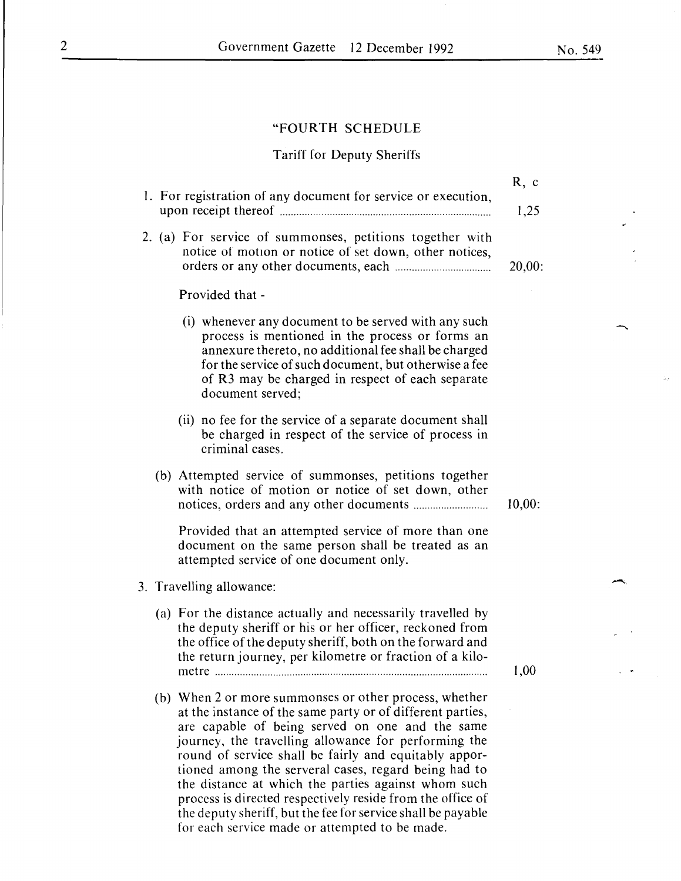### "FOURTH SCHEDULE

### Tariff for Deputy Sheriffs

| 1. For registration of any document for service or execution,                                                                                                                                                                                                                                                                                                                                                                                                         | R, c<br>1,25 |
|-----------------------------------------------------------------------------------------------------------------------------------------------------------------------------------------------------------------------------------------------------------------------------------------------------------------------------------------------------------------------------------------------------------------------------------------------------------------------|--------------|
| 2. (a) For service of summonses, petitions together with<br>notice of motion or notice of set down, other notices,                                                                                                                                                                                                                                                                                                                                                    | 20,00:       |
| Provided that -                                                                                                                                                                                                                                                                                                                                                                                                                                                       |              |
| (i) whenever any document to be served with any such<br>process is mentioned in the process or forms an<br>annexure thereto, no additional fee shall be charged<br>for the service of such document, but otherwise a fee<br>of R3 may be charged in respect of each separate<br>document served;                                                                                                                                                                      |              |
| (ii) no fee for the service of a separate document shall<br>be charged in respect of the service of process in<br>criminal cases.                                                                                                                                                                                                                                                                                                                                     |              |
| (b) Attempted service of summonses, petitions together<br>with notice of motion or notice of set down, other                                                                                                                                                                                                                                                                                                                                                          | 10,00:       |
| Provided that an attempted service of more than one<br>document on the same person shall be treated as an<br>attempted service of one document only.                                                                                                                                                                                                                                                                                                                  |              |
| 3. Travelling allowance:                                                                                                                                                                                                                                                                                                                                                                                                                                              |              |
| (a) For the distance actually and necessarily travelled by<br>the deputy sheriff or his or her officer, reckoned from<br>the office of the deputy sheriff, both on the forward and<br>the return journey, per kilometre or fraction of a kilo-<br>metre                                                                                                                                                                                                               | 1.00         |
| (b) When 2 or more summonses or other process, whether<br>at the instance of the same party or of different parties,<br>are capable of being served on one and the same<br>journey, the travelling allowance for performing the<br>round of service shall be fairly and equitably appor-<br>tioned among the serveral cases, regard being had to<br>the distance at which the parties against whom such<br>process is directed respectively reside from the office of |              |

the deputy sheriff, but the fee for service shall be payable

for each service made or attempted to be made.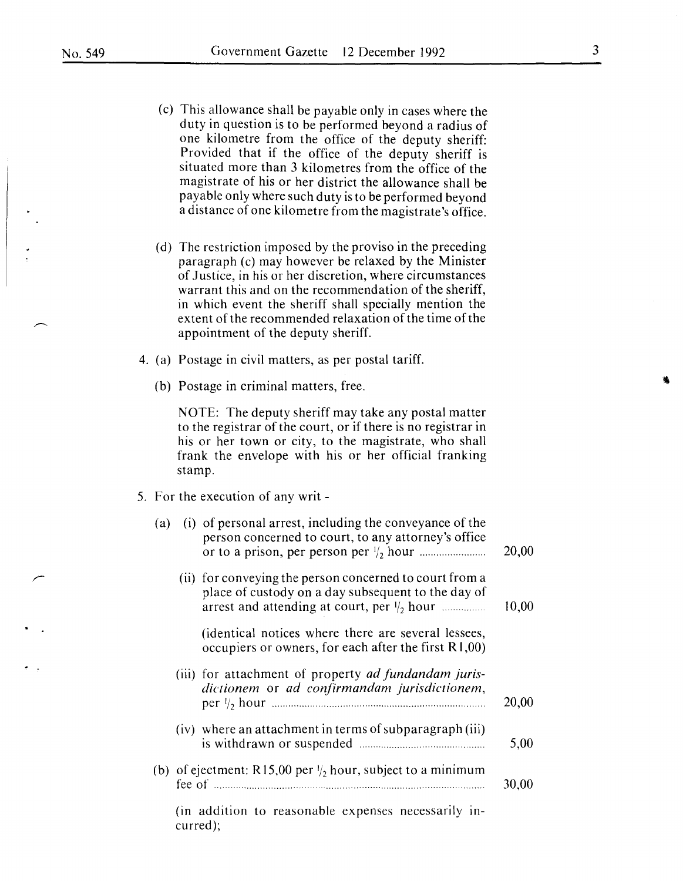- (c) This allowance shall be payable only in cases where the duty in question is to be performed beyond a radius of one kilometre from the office of the deputy sheriff: Provided that if the office of the deputy sheriff is situated more than 3 kilometres from the office of the magistrate of his or her district the allowance shall be payable only where such duty is to be performed beyond a distance of one kilometre from the magistrate's office.
- (d) The restriction imposed by the proviso in the preceding paragraph (c) may however be relaxed by the Minister of Justice, in his or her discretion, where circumstances warrant this and on the recommendation of the sheriff, in which event the sheriff shall specially mention the extent of the recommended relaxation of the time of the appointment of the deputy sheriff.
- 4. (a) Postage in civil matters, as per postal tariff.
	- (b) Postage in criminal matters, free.

NOTE: The deputy sheriff may take any postal matter to the registrar of the court, or if there is no registrar in his or her town or city, to the magistrate, who shall frank the envelope with his or her official franking stamp.

5. For the execution of any writ-

| (a) |          | (i) of personal arrest, including the conveyance of the<br>person concerned to court, to any attorney's office                                                         | 20,00 |
|-----|----------|------------------------------------------------------------------------------------------------------------------------------------------------------------------------|-------|
|     |          | (ii) for conveying the person concerned to court from a<br>place of custody on a day subsequent to the day of<br>arrest and attending at court, per $\frac{1}{2}$ hour | 10,00 |
|     |          | (identical notices where there are several lessees,<br>occupiers or owners, for each after the first R1,00)                                                            |       |
|     |          | (iii) for attachment of property <i>ad fundandam juris</i> -<br>dictionem or ad confirmandam jurisdictionem,                                                           | 20,00 |
|     |          | (iv) where an attachment in terms of subparagraph (iii)                                                                                                                | 5,00  |
|     |          | (b) of ejectment: R15,00 per $\frac{1}{2}$ hour, subject to a minimum                                                                                                  | 30,00 |
|     | curred); | (in addition to reasonable expenses necessarily in-                                                                                                                    |       |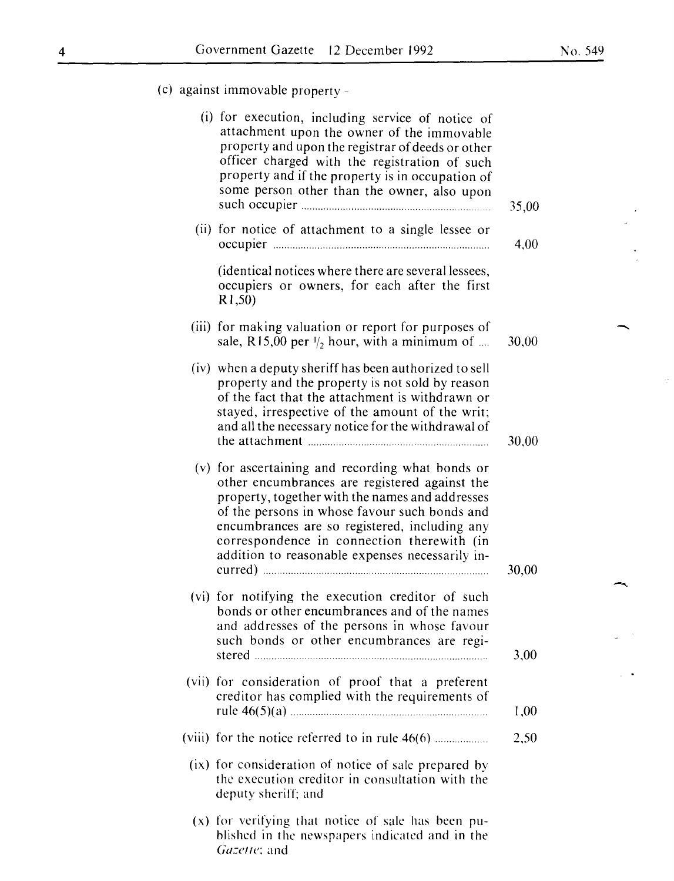-

(c) against immovable property-

| (i) for execution, including service of notice of<br>attachment upon the owner of the immovable<br>property and upon the registrar of deeds or other<br>officer charged with the registration of such<br>property and if the property is in occupation of<br>some person other than the owner, also upon                                                | 35,00 |
|---------------------------------------------------------------------------------------------------------------------------------------------------------------------------------------------------------------------------------------------------------------------------------------------------------------------------------------------------------|-------|
| (ii) for notice of attachment to a single lessee or                                                                                                                                                                                                                                                                                                     | 4,00  |
| (identical notices where there are several lessees,<br>occupiers or owners, for each after the first<br>R1,50)                                                                                                                                                                                                                                          |       |
| (iii) for making valuation or report for purposes of<br>sale, R15,00 per $\frac{1}{2}$ hour, with a minimum of                                                                                                                                                                                                                                          | 30,00 |
| (iv) when a deputy sheriff has been authorized to sell<br>property and the property is not sold by reason<br>of the fact that the attachment is withdrawn or<br>stayed, irrespective of the amount of the writ;<br>and all the necessary notice for the withdrawal of                                                                                   | 30,00 |
| (v) for ascertaining and recording what bonds or<br>other encumbrances are registered against the<br>property, together with the names and addresses<br>of the persons in whose favour such bonds and<br>encumbrances are so registered, including any<br>correspondence in connection therewith (in<br>addition to reasonable expenses necessarily in- | 30,00 |
| (vi) for notifying the execution creditor of such<br>bonds or other encumbrances and of the names<br>and addresses of the persons in whose favour<br>such bonds or other encumbrances are regi-                                                                                                                                                         | 3,00  |
| (vii) for consideration of proof that a preferent<br>creditor has complied with the requirements of                                                                                                                                                                                                                                                     | 1,00  |
|                                                                                                                                                                                                                                                                                                                                                         | 2,50  |
| (ix) for consideration of notice of sale prepared by<br>the execution creditor in consultation with the<br>deputy sheriff; and                                                                                                                                                                                                                          |       |
| (x) for verifying that notice of sale has been pu-<br>blished in the newspapers indicated and in the<br>Gazette; and                                                                                                                                                                                                                                    |       |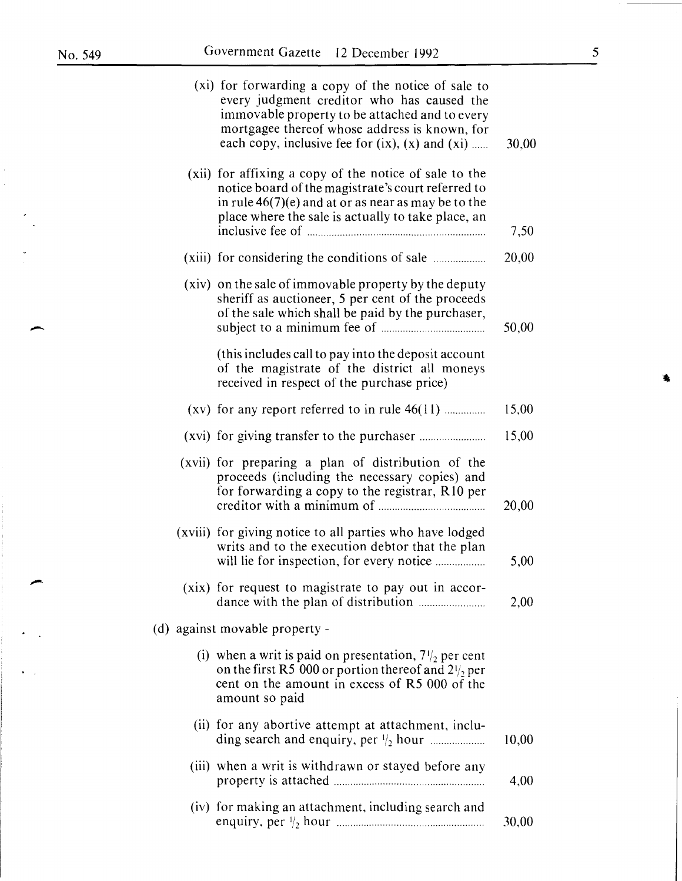$\overline{\phantom{a}}$ 

 $\overline{\phantom{a}}$ 

 $\overline{a}$ 

 $\bullet$   $\mathcal{L}$ 

|       | (xi) for forwarding a copy of the notice of sale to<br>every judgment creditor who has caused the<br>immovable property to be attached and to every<br>mortgagee thereof whose address is known, for<br>each copy, inclusive fee for $(ix)$ , $(x)$ and $(xi)$ | 30,00 |
|-------|----------------------------------------------------------------------------------------------------------------------------------------------------------------------------------------------------------------------------------------------------------------|-------|
| (xii) | for affixing a copy of the notice of sale to the<br>notice board of the magistrate's court referred to<br>in rule $46(7)(e)$ and at or as near as may be to the<br>place where the sale is actually to take place, an                                          | 7,50  |
|       |                                                                                                                                                                                                                                                                | 20,00 |
|       | (xiv) on the sale of immovable property by the deputy<br>sheriff as auctioneer, 5 per cent of the proceeds<br>of the sale which shall be paid by the purchaser,                                                                                                | 50,00 |
|       | (this includes call to pay into the deposit account<br>of the magistrate of the district all moneys<br>received in respect of the purchase price)                                                                                                              |       |
|       | $(xv)$ for any report referred to in rule $46(11)$                                                                                                                                                                                                             | 15,00 |
|       |                                                                                                                                                                                                                                                                | 15,00 |
|       | (xvii) for preparing a plan of distribution of the<br>proceeds (including the necessary copies) and<br>for forwarding a copy to the registrar, R10 per                                                                                                         | 20,00 |
|       | (xviii) for giving notice to all parties who have lodged<br>writs and to the execution debtor that the plan                                                                                                                                                    | 5,00  |
|       | (xix) for request to magistrate to pay out in accor-                                                                                                                                                                                                           | 2,00  |
|       | (d) against movable property -                                                                                                                                                                                                                                 |       |
|       | (i) when a writ is paid on presentation, $7\frac{1}{2}$ per cent<br>on the first R5 000 or portion thereof and $2\frac{1}{2}$ per<br>cent on the amount in excess of R5 000 of the<br>amount so paid                                                           |       |
|       | (ii) for any abortive attempt at attachment, inclu-                                                                                                                                                                                                            | 10,00 |
|       | (iii) when a writ is withdrawn or stayed before any                                                                                                                                                                                                            | 4,00  |
|       | (iv) for making an attachment, including search and                                                                                                                                                                                                            | 30,00 |

á.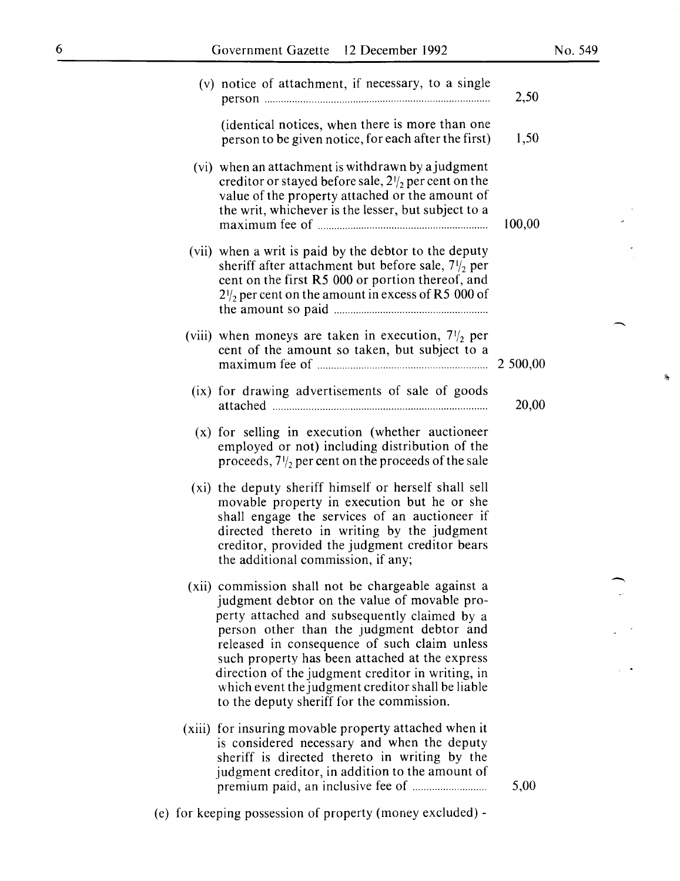-

 $\mathbb{R}^{d-1}$ 

 $\hat{\mathbf{x}}_t$ 

| (v) notice of attachment, if necessary, to a single                                                                                                                                                                                                                                                                                                                                                                                                      | 2,50   |
|----------------------------------------------------------------------------------------------------------------------------------------------------------------------------------------------------------------------------------------------------------------------------------------------------------------------------------------------------------------------------------------------------------------------------------------------------------|--------|
| (identical notices, when there is more than one<br>person to be given notice, for each after the first)                                                                                                                                                                                                                                                                                                                                                  | 1,50   |
| (vi) when an attachment is withdrawn by a judgment<br>creditor or stayed before sale, $2\frac{1}{2}$ per cent on the<br>value of the property attached or the amount of<br>the writ, whichever is the lesser, but subject to a                                                                                                                                                                                                                           | 100,00 |
| (vii) when a writ is paid by the debtor to the deputy<br>sheriff after attachment but before sale, $7\frac{1}{2}$ per<br>cent on the first R5 000 or portion thereof, and<br>$2\frac{1}{2}$ per cent on the amount in excess of R5 000 of                                                                                                                                                                                                                |        |
| (viii) when moneys are taken in execution, $7\frac{1}{2}$ per<br>cent of the amount so taken, but subject to a                                                                                                                                                                                                                                                                                                                                           |        |
| (ix) for drawing advertisements of sale of goods                                                                                                                                                                                                                                                                                                                                                                                                         | 20,00  |
| (x) for selling in execution (whether auctioneer<br>employed or not) including distribution of the<br>proceeds, $7\frac{1}{2}$ per cent on the proceeds of the sale                                                                                                                                                                                                                                                                                      |        |
| (xi) the deputy sheriff himself or herself shall sell<br>movable property in execution but he or she<br>shall engage the services of an auctioneer if<br>directed thereto in writing by the judgment<br>creditor, provided the judgment creditor bears<br>the additional commission, if any;                                                                                                                                                             |        |
| (xii) commission shall not be chargeable against a<br>judgment debtor on the value of movable pro-<br>perty attached and subsequently claimed by a<br>person other than the judgment debtor and<br>released in consequence of such claim unless<br>such property has been attached at the express<br>direction of the judgment creditor in writing, in<br>which event the judgment creditor shall be liable<br>to the deputy sheriff for the commission. |        |
| (xiii) for insuring movable property attached when it<br>is considered necessary and when the deputy<br>sheriff is directed thereto in writing by the<br>judgment creditor, in addition to the amount of<br>(e) for keeping possession of property (money excluded) -                                                                                                                                                                                    | 5,00   |
|                                                                                                                                                                                                                                                                                                                                                                                                                                                          |        |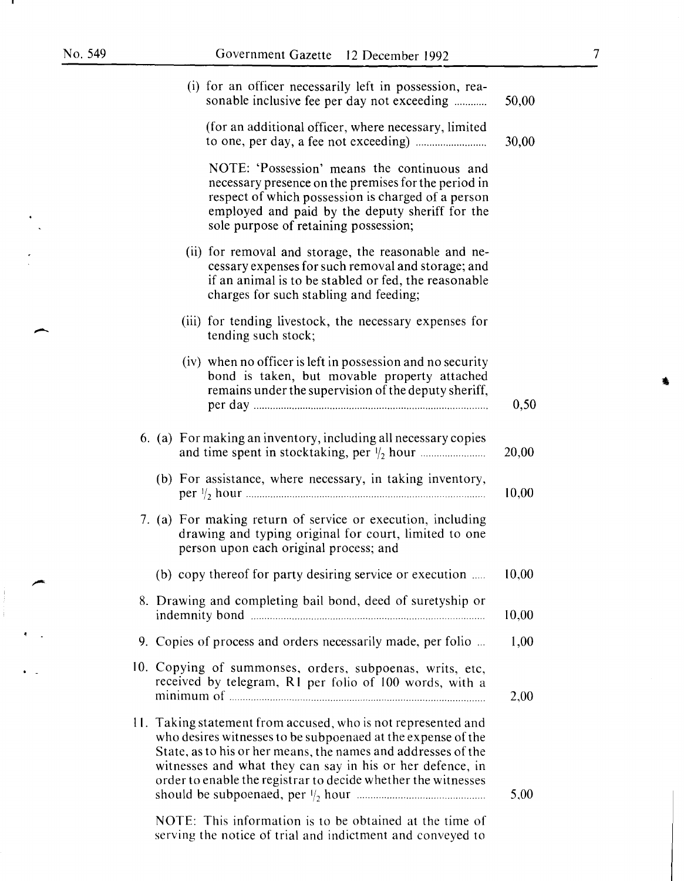-

| (i) for an officer necessarily left in possession, rea-<br>sonable inclusive fee per day not exceeding                                                                                                                                                                                                                       | 50,00 |
|------------------------------------------------------------------------------------------------------------------------------------------------------------------------------------------------------------------------------------------------------------------------------------------------------------------------------|-------|
| (for an additional officer, where necessary, limited                                                                                                                                                                                                                                                                         | 30,00 |
| NOTE: 'Possession' means the continuous and<br>necessary presence on the premises for the period in<br>respect of which possession is charged of a person<br>employed and paid by the deputy sheriff for the<br>sole purpose of retaining possession;                                                                        |       |
| (ii) for removal and storage, the reasonable and ne-<br>cessary expenses for such removal and storage; and<br>if an animal is to be stabled or fed, the reasonable<br>charges for such stabling and feeding;                                                                                                                 |       |
| (iii) for tending livestock, the necessary expenses for<br>tending such stock;                                                                                                                                                                                                                                               |       |
| (iv) when no officer is left in possession and no security<br>bond is taken, but movable property attached<br>remains under the supervision of the deputy sheriff,                                                                                                                                                           | 0,50  |
| 6. (a) For making an inventory, including all necessary copies                                                                                                                                                                                                                                                               | 20,00 |
| (b) For assistance, where necessary, in taking inventory,                                                                                                                                                                                                                                                                    | 10,00 |
| 7. (a) For making return of service or execution, including<br>drawing and typing original for court, limited to one<br>person upon each original process; and                                                                                                                                                               |       |
| (b) copy thereof for party desiring service or execution                                                                                                                                                                                                                                                                     | 10,00 |
| 8. Drawing and completing bail bond, deed of suretyship or                                                                                                                                                                                                                                                                   | 10,00 |
| 9. Copies of process and orders necessarily made, per folio                                                                                                                                                                                                                                                                  | 1,00  |
| 10. Copying of summonses, orders, subpoenas, writs, etc,<br>received by telegram, R1 per folio of 100 words, with a                                                                                                                                                                                                          | 2,00  |
| 11. Taking statement from accused, who is not represented and<br>who desires witnesses to be subpoenaed at the expense of the<br>State, as to his or her means, the names and addresses of the<br>witnesses and what they can say in his or her defence, in<br>order to enable the registrar to decide whether the witnesses | 5,00  |
| NOTE: This information is to be obtained at the time of                                                                                                                                                                                                                                                                      |       |

serving the notice of trial and indictment and conveyed to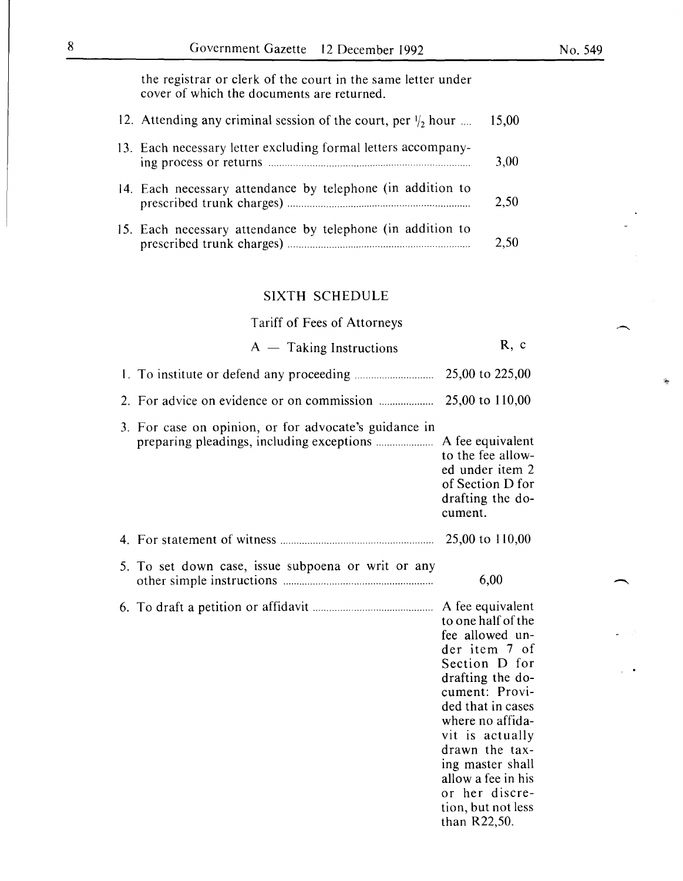the registrar or clerk of the court in the same letter under cover of which the documents are returned.

| 12. Attending any criminal session of the court, per $\frac{1}{2}$ hour  15,00 |      |
|--------------------------------------------------------------------------------|------|
| 13. Each necessary letter excluding formal letters accompany-                  | 3,00 |
| 14. Each necessary attendance by telephone (in addition to                     | 2,50 |
| 15. Each necessary attendance by telephone (in addition to                     | 2,50 |

#### SIXTH SCHEDULE

Tariff of Fees of Attorneys

 $A -$  Taking Instructions R, c I. To institute or defend any proceeding ............................. 25,00 to 225,00 2. For advice on evidence or on commission .................... 25,00 to 110,00 3. For case on opinion, or for advocate's guidance in preparing pleadings, including exceptions ..................... A fee equivalent to the fee allowed under item 2 of Section D for drafting the document. 4. For statement of witness ........................................................ 25,00 to I 10,00 5. To set down case, issue subpoena or writ or any other simple instructions ....................................................... 6,00 6. To draft a petition or affidavit ............................................ A fee equivalent to one half of the fee allowed under item 7 of Section D for drafting the document: Provided that in cases where no affidavit is actually drawn the taxing master shall allow a fee in his or her discretion, but not less

than R22,50.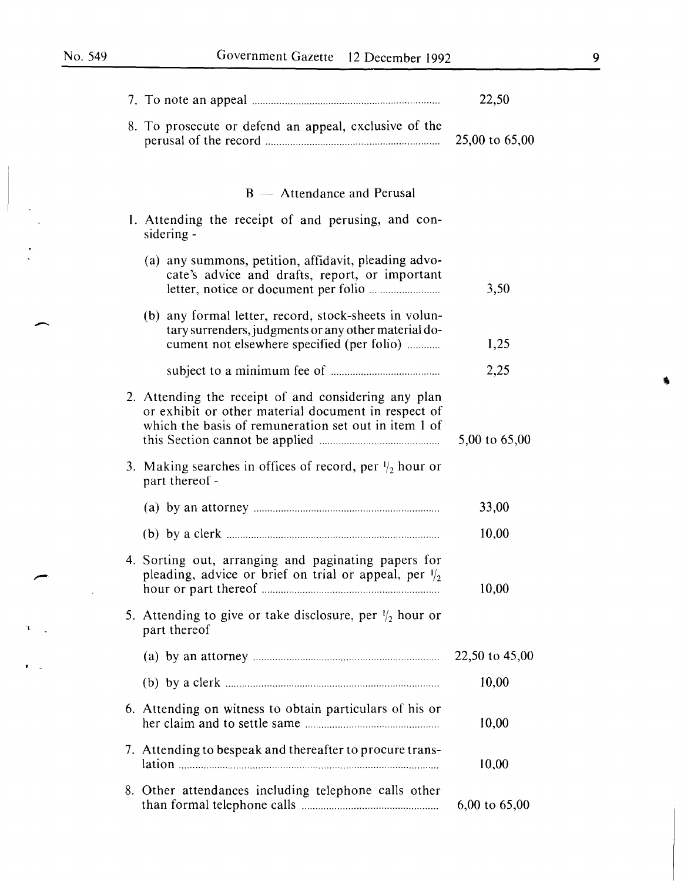$\overline{\phantom{0}}$ 

 $\mathcal{A}$ 

 $\chi$  .

 $\sim$  $\bullet$ 

|                                                                                                                                                                     | 22,50          |
|---------------------------------------------------------------------------------------------------------------------------------------------------------------------|----------------|
| 8. To prosecute or defend an appeal, exclusive of the                                                                                                               | 25,00 to 65,00 |
| $B -$ Attendance and Perusal                                                                                                                                        |                |
| 1. Attending the receipt of and perusing, and con-<br>sidering -                                                                                                    |                |
| (a) any summons, petition, affidavit, pleading advo-<br>cate's advice and drafts, report, or important                                                              | 3,50           |
| (b) any formal letter, record, stock-sheets in volun-<br>tary surrenders, judgments or any other material do-<br>cument not elsewhere specified (per folio)         | 1,25           |
|                                                                                                                                                                     | 2,25           |
| 2. Attending the receipt of and considering any plan<br>or exhibit or other material document in respect of<br>which the basis of remuneration set out in item 1 of | 5,00 to 65,00  |
| 3. Making searches in offices of record, per $\frac{1}{2}$ hour or<br>part thereof -                                                                                |                |
|                                                                                                                                                                     | 33,00          |
|                                                                                                                                                                     | 10,00          |
| 4. Sorting out, arranging and paginating papers for<br>pleading, advice or brief on trial or appeal, per $\frac{1}{2}$                                              | 10,00          |
| 5. Attending to give or take disclosure, per $\frac{1}{2}$ hour or<br>part thereof                                                                                  |                |
|                                                                                                                                                                     | 22,50 to 45,00 |
|                                                                                                                                                                     | 10,00          |
| 6. Attending on witness to obtain particulars of his or                                                                                                             | 10,00          |
| 7. Attending to bespeak and thereafter to procure trans-                                                                                                            | 10,00          |
| 8. Other attendances including telephone calls other                                                                                                                | 6,00 to 65,00  |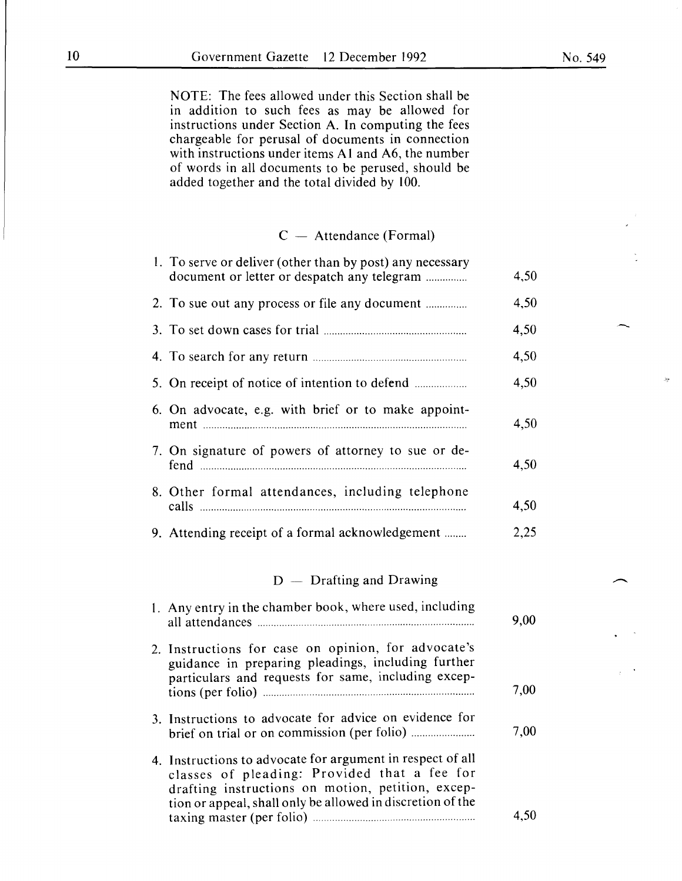NOTE: The fees allowed under this Section shall be in addition to such fees as may be allowed for instructions under Section A. In computing the fees chargeable for perusal of documents in connection with instructions under items A1 and A6, the number of words in all documents to be perused, should be added together and the total divided by 100.

### $C -$  Attendance (Formal)

| 1. To serve or deliver (other than by post) any necessary<br>document or letter or despatch any telegram                                                                                                                      | 4,50 |
|-------------------------------------------------------------------------------------------------------------------------------------------------------------------------------------------------------------------------------|------|
| 2. To sue out any process or file any document                                                                                                                                                                                | 4,50 |
|                                                                                                                                                                                                                               | 4,50 |
|                                                                                                                                                                                                                               | 4,50 |
|                                                                                                                                                                                                                               | 4,50 |
| 6. On advocate, e.g. with brief or to make appoint-                                                                                                                                                                           | 4,50 |
| 7. On signature of powers of attorney to sue or de-                                                                                                                                                                           | 4,50 |
| 8. Other formal attendances, including telephone                                                                                                                                                                              | 4,50 |
| 9. Attending receipt of a formal acknowledgement                                                                                                                                                                              | 2,25 |
| $D -$ Drafting and Drawing                                                                                                                                                                                                    |      |
| 1. Any entry in the chamber book, where used, including                                                                                                                                                                       | 9,00 |
| 2. Instructions for case on opinion, for advocate's<br>guidance in preparing pleadings, including further<br>particulars and requests for same, including excep-                                                              | 7,00 |
| 3. Instructions to advocate for advice on evidence for                                                                                                                                                                        | 7,00 |
| 4. Instructions to advocate for argument in respect of all<br>classes of pleading: Provided that a fee for<br>drafting instructions on motion, petition, excep-<br>tion or appeal, shall only be allowed in discretion of the | 4,50 |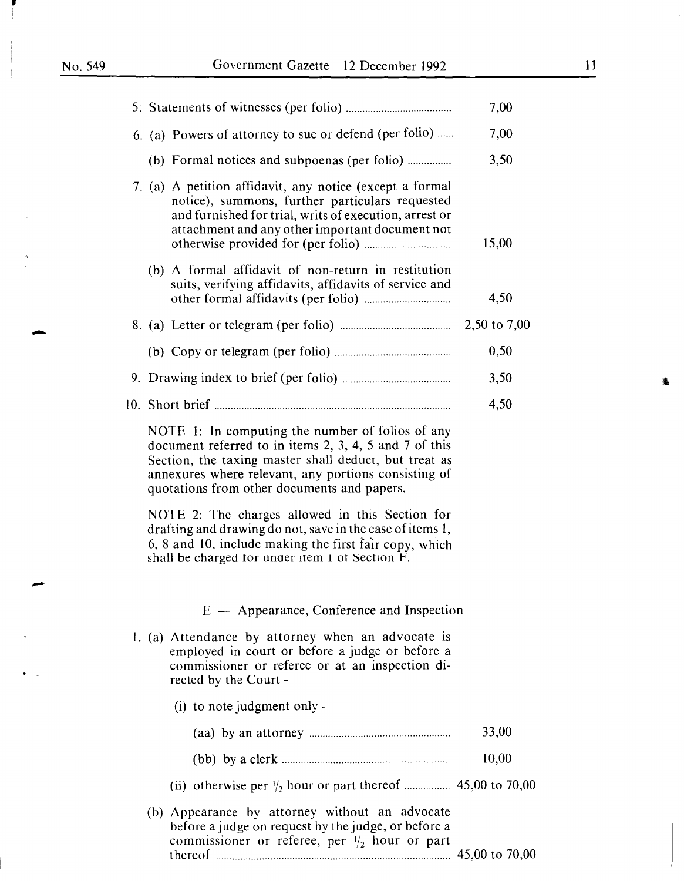i

-

|  |                                                                                                                                                                                                                                                                            | 7,00  |
|--|----------------------------------------------------------------------------------------------------------------------------------------------------------------------------------------------------------------------------------------------------------------------------|-------|
|  | 6. (a) Powers of attorney to sue or defend (per folio)                                                                                                                                                                                                                     | 7,00  |
|  |                                                                                                                                                                                                                                                                            | 3,50  |
|  | 7. (a) A petition affidavit, any notice (except a formal<br>notice), summons, further particulars requested<br>and furnished for trial, writs of execution, arrest or<br>attachment and any other important document not                                                   | 15,00 |
|  | (b) A formal affidavit of non-return in restitution<br>suits, verifying affidavits, affidavits of service and                                                                                                                                                              | 4,50  |
|  |                                                                                                                                                                                                                                                                            |       |
|  |                                                                                                                                                                                                                                                                            | 0,50  |
|  |                                                                                                                                                                                                                                                                            | 3,50  |
|  |                                                                                                                                                                                                                                                                            | 4,50  |
|  | NOTE 1: In computing the number of folios of any<br>document referred to in items 2, 3, 4, 5 and 7 of this<br>Section, the taxing master shall deduct, but treat as<br>annexures where relevant, any portions consisting of<br>quotations from other documents and papers. |       |
|  | NOTE 2: The charges allowed in this Section for<br>drafting and drawing do not, save in the case of items 1,<br>6, 8 and 10, include making the first fair copy, which<br>shall be charged for under item 1 of Section F.                                                  |       |
|  | E - Appearance, Conference and Inspection                                                                                                                                                                                                                                  |       |
|  | 1. (a) Attendance by attorney when an advocate is<br>employed in court or before a judge or before a<br>commissioner or referee or at an inspection di-<br>rected by the Court -                                                                                           |       |
|  | $(i)$ to note judgment only -                                                                                                                                                                                                                                              |       |
|  |                                                                                                                                                                                                                                                                            | 33,00 |
|  |                                                                                                                                                                                                                                                                            | 10,00 |
|  |                                                                                                                                                                                                                                                                            |       |
|  | (b) Appearance by attorney without an advocate<br>before a judge on request by the judge, or before a<br>commissioner or referee, per $\frac{1}{2}$ hour or part                                                                                                           |       |

thereof ...................................................................................... 45,00 to 70,00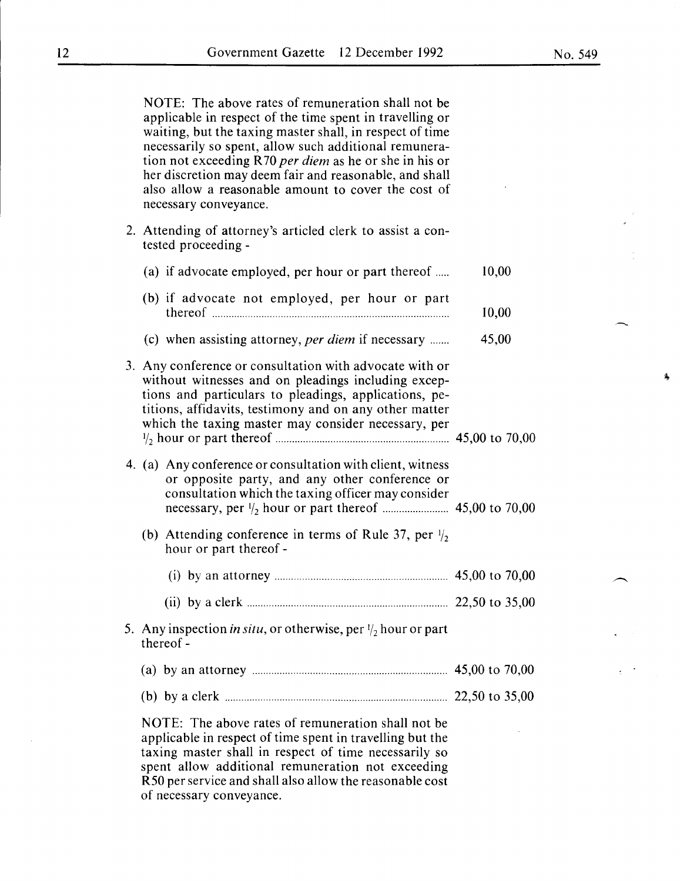NOTE: The above rates of remuneration shall not be applicable in respect of the time spent in travelling or waiting, but the taxing master shall, in respect of time necessarily so spent, allow such additional remuneration not exceeding R 70 *per diem* as he or she in his or her discretion may deem fair and reasonable, and shall also allow a reasonable amount to cover the cost of necessary conveyance.

2. Attending of attorney's articled clerk to assist a contested proceeding -

| (a) if advocate employed, per hour or part thereof                                                                                                                                                                                                                                        | 10,00 |
|-------------------------------------------------------------------------------------------------------------------------------------------------------------------------------------------------------------------------------------------------------------------------------------------|-------|
| (b) if advocate not employed, per hour or part                                                                                                                                                                                                                                            | 10,00 |
| (c) when assisting attorney, per diem if necessary                                                                                                                                                                                                                                        | 45,00 |
| 3. Any conference or consultation with advocate with or<br>without witnesses and on pleadings including excep-<br>tions and particulars to pleadings, applications, pe-<br>titions, affidavits, testimony and on any other matter<br>which the taxing master may consider necessary, per  |       |
| 4. (a) Any conference or consultation with client, witness<br>or opposite party, and any other conference or<br>consultation which the taxing officer may consider                                                                                                                        |       |
| (b) Attending conference in terms of Rule 37, per $\frac{1}{2}$<br>hour or part thereof -                                                                                                                                                                                                 |       |
|                                                                                                                                                                                                                                                                                           |       |
|                                                                                                                                                                                                                                                                                           |       |
| 5. Any inspection in situ, or otherwise, per $\frac{1}{2}$ hour or part<br>thereof-                                                                                                                                                                                                       |       |
|                                                                                                                                                                                                                                                                                           |       |
| (b) by a clerk $\ldots$ $\ldots$ $\ldots$ $\ldots$ $\ldots$ $\ldots$ $\ldots$ $\ldots$ $\ldots$ $\ldots$ $22,50$ to 35,00                                                                                                                                                                 |       |
| NOTE: The above rates of remuneration shall not be<br>applicable in respect of time spent in travelling but the<br>taxing master shall in respect of time necessarily so<br>spent allow additional remuneration not exceeding<br>R50 per service and shall also allow the reasonable cost |       |

of necessary conveyance.

蠢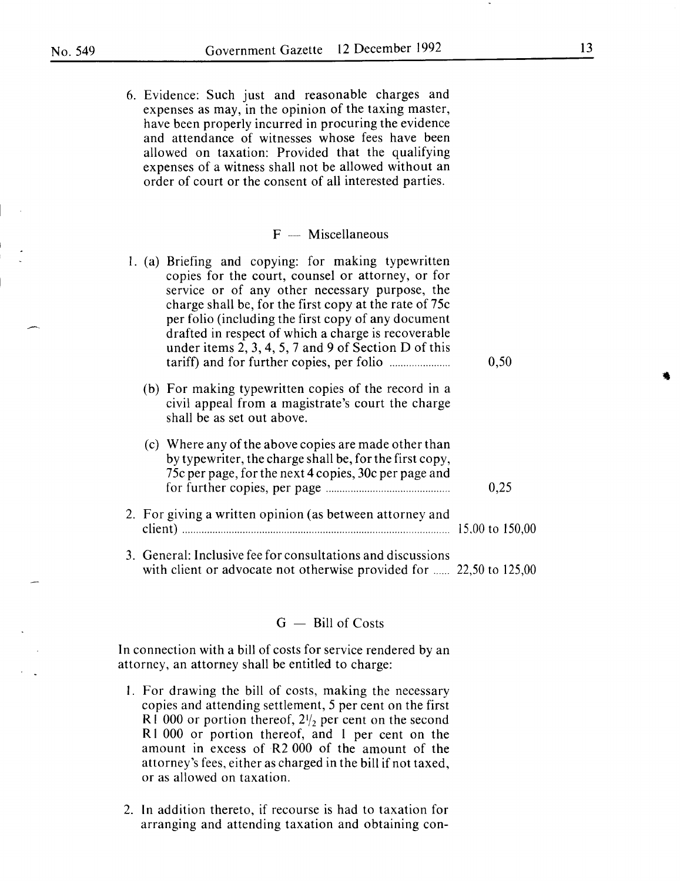6. Evidence: Such just and reasonable charges and expenses as may, in the opinion of the taxing master, have been properly incurred in procuring the evidence and attendance of witnesses whose fees have been allowed on taxation: Provided that the qualifying expenses of a witness shall not be allowed without an order of court or the consent of all interested parties.

#### $F -$  Miscellaneous

l. (a) Briefing and copying: for making typewritten copies for the court, counsel or attorney, or for service or of any other necessary purpose, the charge shall be, for the first copy at the rate of 75c per folio (including the first copy of any document drafted in respect of which a charge is recoverable under items 2, 3, 4, 5, 7 and 9 of Section D of this tariff) and for further copies, per folio ...................... 0,50 (b) For making typewritten copies of the record in a civil appeal from a magistrate's court the charge shall be as set out above. (c) Where any of the above copies are made other than by typewriter, the charge shall be, for the first copy, 75c per page, for the next 4 copies, 30c per page and for further copies, per page ............................................. 0,25 2. For giving a written opinion (as between attorney and client) ................................................................................................. 15.00 to 150,00 3. General: Inclusive fee for consultations and discussions with client or advocate not otherwise provided for ...... 22,50 to 125,00

#### $G -$ Bill of Costs

In connection with a bill of costs for service rendered by an attorney, an attorney shall be entitled to charge:

- I. For drawing the bill of costs, making the necessary copies and attending settlement, 5 per cent on the first R1 000 or portion thereof,  $2\frac{1}{2}$  per cent on the second R1 000 or portion thereof, and 1 per cent on the amount in excess of R2 000 of the amount of the attorney's fees, either as charged in the bill if not taxed, or as allowed on taxation.
- 2. In addition thereto, if recourse is had to taxation for arranging and attending taxation and obtaining con-